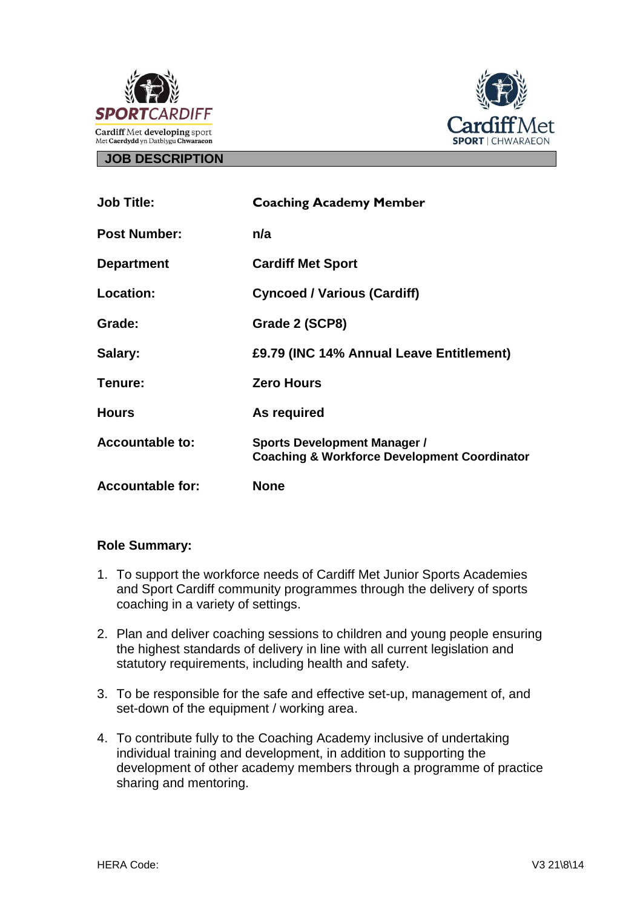



#### **JOB DESCRIPTION**

| <b>Job Title:</b>       | <b>Coaching Academy Member</b>                                                                 |
|-------------------------|------------------------------------------------------------------------------------------------|
| <b>Post Number:</b>     | n/a                                                                                            |
| <b>Department</b>       | <b>Cardiff Met Sport</b>                                                                       |
| <b>Location:</b>        | <b>Cyncoed / Various (Cardiff)</b>                                                             |
| Grade:                  | Grade 2 (SCP8)                                                                                 |
| Salary:                 | £9.79 (INC 14% Annual Leave Entitlement)                                                       |
| Tenure:                 | <b>Zero Hours</b>                                                                              |
| <b>Hours</b>            | As required                                                                                    |
| <b>Accountable to:</b>  | <b>Sports Development Manager /</b><br><b>Coaching &amp; Workforce Development Coordinator</b> |
| <b>Accountable for:</b> | <b>None</b>                                                                                    |

## **Role Summary:**

- 1. To support the workforce needs of Cardiff Met Junior Sports Academies and Sport Cardiff community programmes through the delivery of sports coaching in a variety of settings.
- 2. Plan and deliver coaching sessions to children and young people ensuring the highest standards of delivery in line with all current legislation and statutory requirements, including health and safety.
- 3. To be responsible for the safe and effective set-up, management of, and set-down of the equipment / working area.
- 4. To contribute fully to the Coaching Academy inclusive of undertaking individual training and development, in addition to supporting the development of other academy members through a programme of practice sharing and mentoring.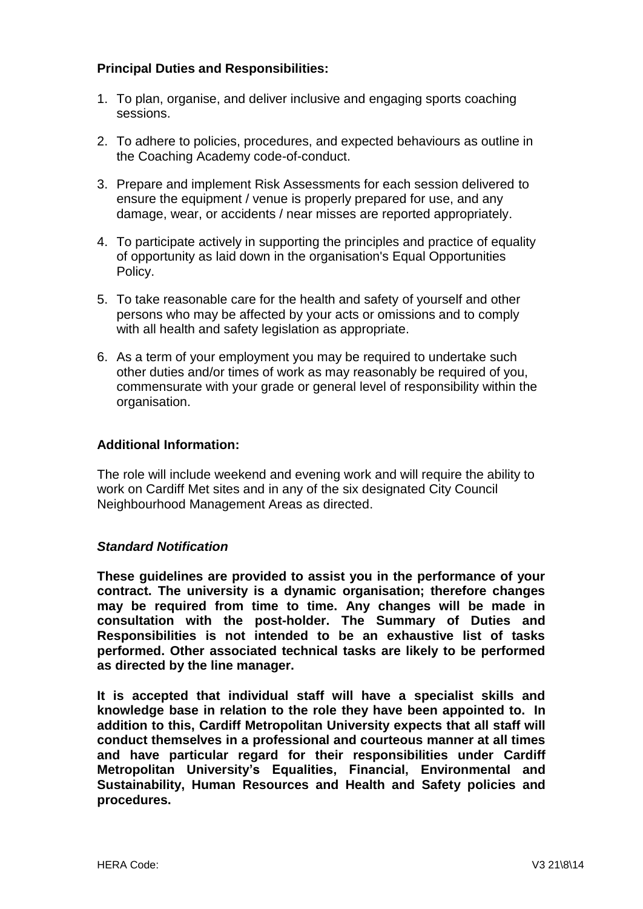### **Principal Duties and Responsibilities:**

- 1. To plan, organise, and deliver inclusive and engaging sports coaching sessions.
- 2. To adhere to policies, procedures, and expected behaviours as outline in the Coaching Academy code-of-conduct.
- 3. Prepare and implement Risk Assessments for each session delivered to ensure the equipment / venue is properly prepared for use, and any damage, wear, or accidents / near misses are reported appropriately.
- 4. To participate actively in supporting the principles and practice of equality of opportunity as laid down in the organisation's Equal Opportunities Policy.
- 5. To take reasonable care for the health and safety of yourself and other persons who may be affected by your acts or omissions and to comply with all health and safety legislation as appropriate.
- 6. As a term of your employment you may be required to undertake such other duties and/or times of work as may reasonably be required of you, commensurate with your grade or general level of responsibility within the organisation.

#### **Additional Information:**

The role will include weekend and evening work and will require the ability to work on Cardiff Met sites and in any of the six designated City Council Neighbourhood Management Areas as directed.

#### *Standard Notification*

**These guidelines are provided to assist you in the performance of your contract. The university is a dynamic organisation; therefore changes may be required from time to time. Any changes will be made in consultation with the post-holder. The Summary of Duties and Responsibilities is not intended to be an exhaustive list of tasks performed. Other associated technical tasks are likely to be performed as directed by the line manager.**

**It is accepted that individual staff will have a specialist skills and knowledge base in relation to the role they have been appointed to. In addition to this, Cardiff Metropolitan University expects that all staff will conduct themselves in a professional and courteous manner at all times and have particular regard for their responsibilities under Cardiff Metropolitan University's Equalities, Financial, Environmental and Sustainability, Human Resources and Health and Safety policies and procedures.**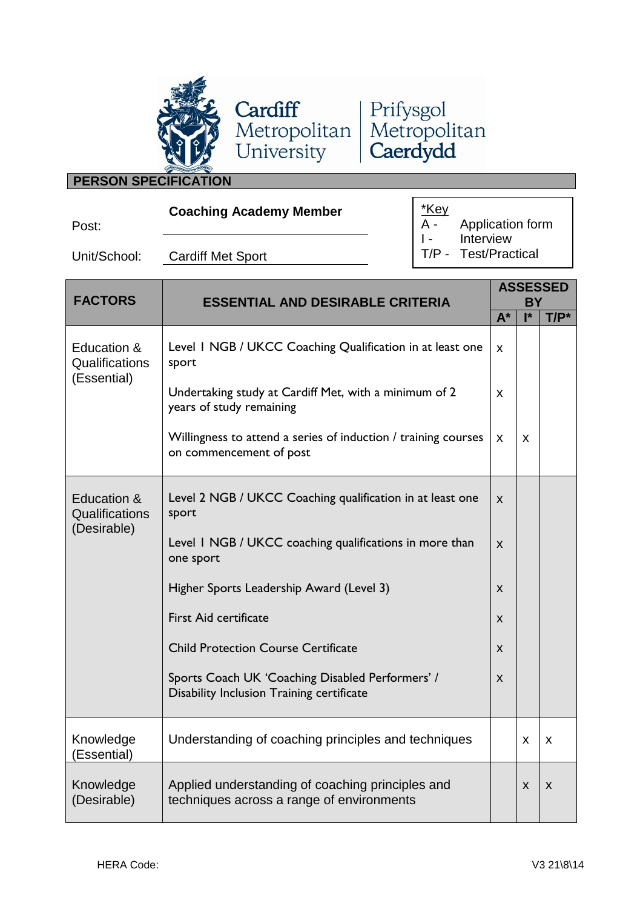



# **PERSON SPECIFICATION**

| w<br>۰.<br>I<br>×<br>٠ |  |
|------------------------|--|

**Coaching Academy Member**

\*Key<br>A -Application form I - Interview<br>T/P - Test/Prac Test/Practical

Unit/School: Cardiff Met Sport

| <b>FACTORS</b>                               | <b>ESSENTIAL AND DESIRABLE CRITERIA</b>                                                       | <b>ASSESSED</b><br><b>BY</b> |    |         |
|----------------------------------------------|-----------------------------------------------------------------------------------------------|------------------------------|----|---------|
|                                              |                                                                                               | $A^*$                        | I* | $T/P^*$ |
| Education &<br>Qualifications<br>(Essential) | Level 1 NGB / UKCC Coaching Qualification in at least one<br>sport                            | X                            |    |         |
|                                              | Undertaking study at Cardiff Met, with a minimum of 2<br>years of study remaining             | X.                           |    |         |
|                                              | Willingness to attend a series of induction / training courses<br>on commencement of post     | X                            | X  |         |
| Education &<br>Qualifications<br>(Desirable) | Level 2 NGB / UKCC Coaching qualification in at least one<br>sport                            | $\mathsf{x}$                 |    |         |
|                                              | Level I NGB / UKCC coaching qualifications in more than<br>one sport                          | X                            |    |         |
|                                              | Higher Sports Leadership Award (Level 3)                                                      | X                            |    |         |
|                                              | <b>First Aid certificate</b>                                                                  | X                            |    |         |
|                                              | <b>Child Protection Course Certificate</b>                                                    | X                            |    |         |
|                                              | Sports Coach UK 'Coaching Disabled Performers' /<br>Disability Inclusion Training certificate | $\mathsf{x}$                 |    |         |
| Knowledge<br>(Essential)                     | Understanding of coaching principles and techniques                                           |                              | X  | X       |
| Knowledge<br>(Desirable)                     | Applied understanding of coaching principles and<br>techniques across a range of environments |                              | X  | X       |